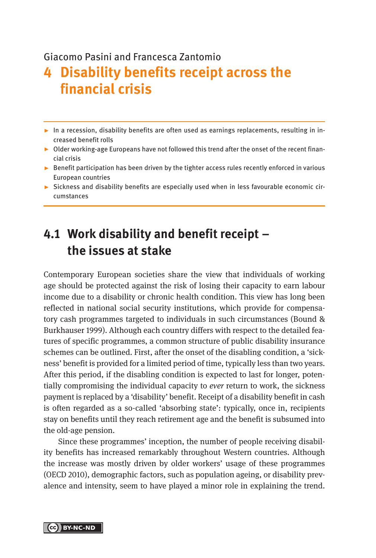#### Giacomo Pasini and Francesca Zantomio

# **4 Disability benefits receipt across the financial crisis**

- $\blacktriangleright$  In a recession, disability benefits are often used as earnings replacements, resulting in increased benefit rolls
- ▸ Older working-age Europeans have not followed this trend after the onset of the recent financial crisis
- ► Benefit participation has been driven by the tighter access rules recently enforced in various European countries
- ► Sickness and disability benefits are especially used when in less favourable economic circumstances

### **4.1 Work disability and benefit receipt – the issues at stake**

Contemporary European societies share the view that individuals of working age should be protected against the risk of losing their capacity to earn labour income due to a disability or chronic health condition. This view has long been reflected in national social security institutions, which provide for compensatory cash programmes targeted to individuals in such circumstances (Bound & Burkhauser 1999). Although each country differs with respect to the detailed features of specific programmes, a common structure of public disability insurance schemes can be outlined. First, after the onset of the disabling condition, a 'sickness' benefit is provided for a limited period of time, typically less than two years. After this period, if the disabling condition is expected to last for longer, potentially compromising the individual capacity to *ever* return to work, the sickness payment is replaced by a 'disability' benefit. Receipt of a disability benefit in cash is often regarded as a so-called 'absorbing state': typically, once in, recipients stay on benefits until they reach retirement age and the benefit is subsumed into the old-age pension.

Since these programmes' inception, the number of people receiving disability benefits has increased remarkably throughout Western countries. Although the increase was mostly driven by older workers' usage of these programmes (OECD 2010), demographic factors, such as population ageing, or disability prevalence and intensity, seem to have played a minor role in explaining the trend.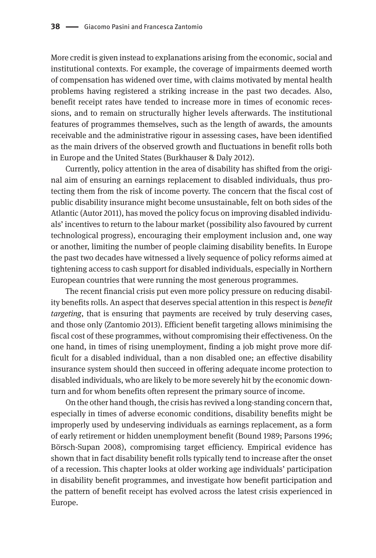More credit is given instead to explanations arising from the economic, social and institutional contexts. For example, the coverage of impairments deemed worth of compensation has widened over time, with claims motivated by mental health problems having registered a striking increase in the past two decades. Also, benefit receipt rates have tended to increase more in times of economic recessions, and to remain on structurally higher levels afterwards. The institutional features of programmes themselves, such as the length of awards, the amounts receivable and the administrative rigour in assessing cases, have been identified as the main drivers of the observed growth and fluctuations in benefit rolls both in Europe and the United States (Burkhauser & Daly 2012).

Currently, policy attention in the area of disability has shifted from the original aim of ensuring an earnings replacement to disabled individuals, thus protecting them from the risk of income poverty. The concern that the fiscal cost of public disability insurance might become unsustainable, felt on both sides of the Atlantic (Autor 2011), has moved the policy focus on improving disabled individuals' incentives to return to the labour market (possibility also favoured by current technological progress), encouraging their employment inclusion and, one way or another, limiting the number of people claiming disability benefits. In Europe the past two decades have witnessed a lively sequence of policy reforms aimed at tightening access to cash support for disabled individuals, especially in Northern European countries that were running the most generous programmes.

The recent financial crisis put even more policy pressure on reducing disability benefits rolls. An aspect that deserves special attention in this respect is *benefit targeting*, that is ensuring that payments are received by truly deserving cases, and those only (Zantomio 2013). Efficient benefit targeting allows minimising the fiscal cost of these programmes, without compromising their effectiveness. On the one hand, in times of rising unemployment, finding a job might prove more difficult for a disabled individual, than a non disabled one; an effective disability insurance system should then succeed in offering adequate income protection to disabled individuals, who are likely to be more severely hit by the economic downturn and for whom benefits often represent the primary source of income.

On the other hand though, the crisis has revived a long-standing concern that, especially in times of adverse economic conditions, disability benefits might be improperly used by undeserving individuals as earnings replacement, as a form of early retirement or hidden unemployment benefit (Bound 1989; Parsons 1996; Börsch-Supan 2008), compromising target efficiency. Empirical evidence has shown that in fact disability benefit rolls typically tend to increase after the onset of a recession. This chapter looks at older working age individuals' participation in disability benefit programmes, and investigate how benefit participation and the pattern of benefit receipt has evolved across the latest crisis experienced in Europe.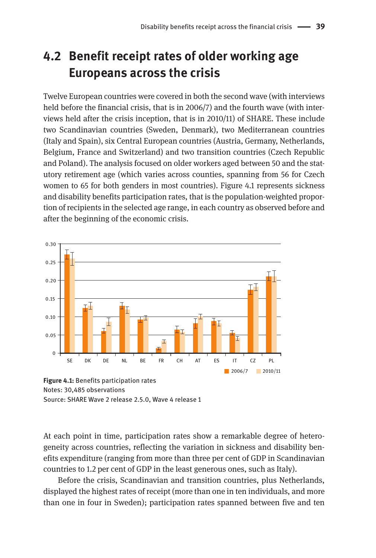# **4.2 Benefit receipt rates of older working age Europeans across the crisis**

Twelve European countries were covered in both the second wave (with interviews held before the financial crisis, that is in 2006/7) and the fourth wave (with interviews held after the crisis inception, that is in 2010/11) of SHARE. These include two Scandinavian countries (Sweden, Denmark), two Mediterranean countries (Italy and Spain), six Central European countries (Austria, Germany, Netherlands, Belgium, France and Switzerland) and two transition countries (Czech Republic and Poland). The analysis focused on older workers aged between 50 and the statutory retirement age (which varies across counties, spanning from 56 for Czech women to 65 for both genders in most countries). Figure 4.1 represents sickness and disability benefits participation rates, that is the population-weighted proportion of recipients in the selected age range, in each country as observed before and after the beginning of the economic crisis.



Notes: 30,485 observations Source: SHARE Wave 2 release 2.5.0, Wave 4 release 1

At each point in time, participation rates show a remarkable degree of heterogeneity across countries, reflecting the variation in sickness and disability benefits expenditure (ranging from more than three per cent of GDP in Scandinavian countries to 1.2 per cent of GDP in the least generous ones, such as Italy).

Before the crisis, Scandinavian and transition countries, plus Netherlands, displayed the highest rates of receipt (more than one in ten individuals, and more than one in four in Sweden); participation rates spanned between five and ten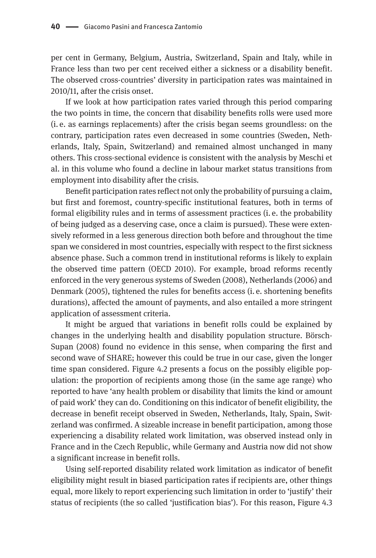per cent in Germany, Belgium, Austria, Switzerland, Spain and Italy, while in France less than two per cent received either a sickness or a disability benefit. The observed cross-countries' diversity in participation rates was maintained in 2010/11, after the crisis onset.

If we look at how participation rates varied through this period comparing the two points in time, the concern that disability benefits rolls were used more (i. e. as earnings replacements) after the crisis began seems groundless: on the contrary, participation rates even decreased in some countries (Sweden, Netherlands, Italy, Spain, Switzerland) and remained almost unchanged in many others. This cross-sectional evidence is consistent with the analysis by Meschi et al. in this volume who found a decline in labour market status transitions from employment into disability after the crisis.

Benefit participation rates reflect not only the probability of pursuing a claim, but first and foremost, country-specific institutional features, both in terms of formal eligibility rules and in terms of assessment practices (i. e. the probability of being judged as a deserving case, once a claim is pursued). These were extensively reformed in a less generous direction both before and throughout the time span we considered in most countries, especially with respect to the first sickness absence phase. Such a common trend in institutional reforms is likely to explain the observed time pattern (OECD 2010). For example, broad reforms recently enforced in the very generous systems of Sweden (2008), Netherlands (2006) and Denmark (2005), tightened the rules for benefits access (i. e. shortening benefits durations), affected the amount of payments, and also entailed a more stringent application of assessment criteria.

It might be argued that variations in benefit rolls could be explained by changes in the underlying health and disability population structure. Börsch-Supan (2008) found no evidence in this sense, when comparing the first and second wave of SHARE; however this could be true in our case, given the longer time span considered. Figure 4.2 presents a focus on the possibly eligible population: the proportion of recipients among those (in the same age range) who reported to have 'any health problem or disability that limits the kind or amount of paid work' they can do. Conditioning on this indicator of benefit eligibility, the decrease in benefit receipt observed in Sweden, Netherlands, Italy, Spain, Switzerland was confirmed. A sizeable increase in benefit participation, among those experiencing a disability related work limitation, was observed instead only in France and in the Czech Republic, while Germany and Austria now did not show a significant increase in benefit rolls.

Using self-reported disability related work limitation as indicator of benefit eligibility might result in biased participation rates if recipients are, other things equal, more likely to report experiencing such limitation in order to 'justify' their status of recipients (the so called 'justification bias'). For this reason, Figure 4.3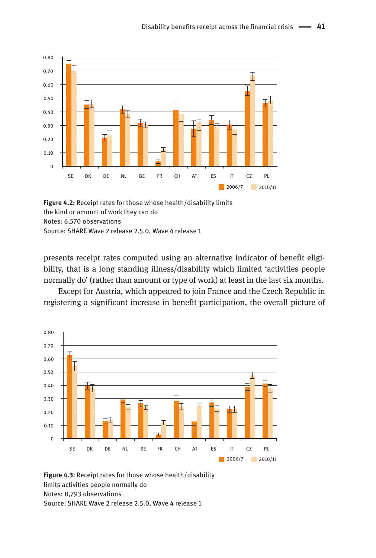

**Figure 4.2:** Receipt rates for those whose health/disability limits the kind or amount of work they can do Notes: 6,570 observations Source: SHARE Wave 2 release 2.5.0, Wave 4 release 1

presents receipt rates computed using an alternative indicator of benefit eligibility, that is a long standing illness/disability which limited 'activities people normally do' (rather than amount or type of work) at least in the last six months.

Except for Austria, which appeared to join France and the Czech Republic in registering a significant increase in benefit participation, the overall picture of



**Figure 4.3:** Receipt rates for those whose health/disability limits activities people normally do Notes: 8,793 observations Source: SHARE Wave 2 release 2.5.0, Wave 4 release 1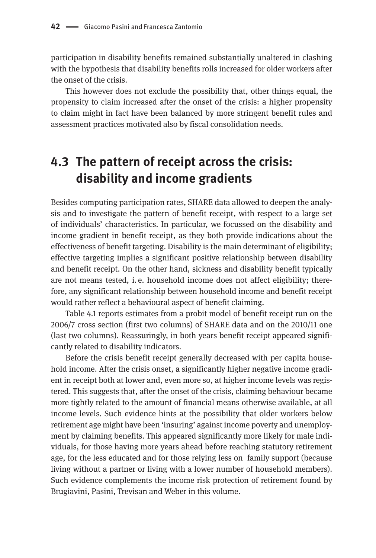participation in disability benefits remained substantially unaltered in clashing with the hypothesis that disability benefits rolls increased for older workers after the onset of the crisis.

This however does not exclude the possibility that, other things equal, the propensity to claim increased after the onset of the crisis: a higher propensity to claim might in fact have been balanced by more stringent benefit rules and assessment practices motivated also by fiscal consolidation needs.

### **4.3 The pattern of receipt across the crisis: disability and income gradients**

Besides computing participation rates, SHARE data allowed to deepen the analysis and to investigate the pattern of benefit receipt, with respect to a large set of individuals' characteristics. In particular, we focussed on the disability and income gradient in benefit receipt, as they both provide indications about the effectiveness of benefit targeting. Disability is the main determinant of eligibility; effective targeting implies a significant positive relationship between disability and benefit receipt. On the other hand, sickness and disability benefit typically are not means tested, i. e. household income does not affect eligibility; therefore, any significant relationship between household income and benefit receipt would rather reflect a behavioural aspect of benefit claiming.

Table 4.1 reports estimates from a probit model of benefit receipt run on the 2006/7 cross section (first two columns) of SHARE data and on the 2010/11 one (last two columns). Reassuringly, in both years benefit receipt appeared significantly related to disability indicators.

Before the crisis benefit receipt generally decreased with per capita household income. After the crisis onset, a significantly higher negative income gradient in receipt both at lower and, even more so, at higher income levels was registered. This suggests that, after the onset of the crisis, claiming behaviour became more tightly related to the amount of financial means otherwise available, at all income levels. Such evidence hints at the possibility that older workers below retirement age might have been 'insuring' against income poverty and unemployment by claiming benefits. This appeared significantly more likely for male individuals, for those having more years ahead before reaching statutory retirement age, for the less educated and for those relying less on family support (because living without a partner or living with a lower number of household members). Such evidence complements the income risk protection of retirement found by Brugiavini, Pasini, Trevisan and Weber in this volume.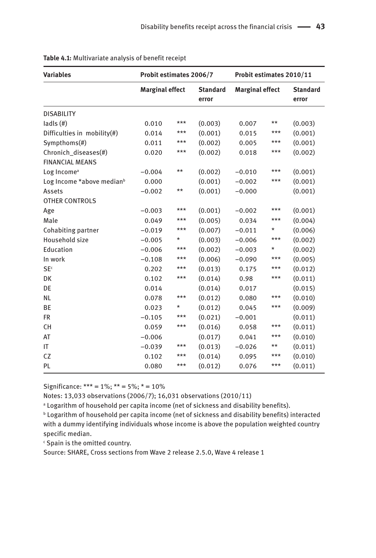| <b>Variables</b>                               | Probit estimates 2006/7 |       |                          | Probit estimates 2010/11 |       |                          |
|------------------------------------------------|-------------------------|-------|--------------------------|--------------------------|-------|--------------------------|
|                                                | <b>Marginal effect</b>  |       | <b>Standard</b><br>error | <b>Marginal effect</b>   |       | <b>Standard</b><br>error |
| <b>DISABILITY</b>                              |                         |       |                          |                          |       |                          |
| lads(f))                                       | 0.010                   | $***$ | (0.003)                  | 0.007                    | $***$ | (0.003)                  |
| Difficulties in mobility(#)                    | 0.014                   | $***$ | (0.001)                  | 0.015                    | ***   | (0.001)                  |
| Sympthoms(#)                                   | 0.011                   | $***$ | (0.002)                  | 0.005                    | ***   | (0.001)                  |
| Chronich_diseases(#)<br><b>FINANCIAL MEANS</b> | 0.020                   | ***   | (0.002)                  | 0.018                    | ***   | (0.002)                  |
| Log Income <sup>a</sup>                        | $-0.004$                | $***$ | (0.002)                  | $-0.010$                 | ***   | (0.001)                  |
| Log Income *above median <sup>b</sup>          | 0.000                   |       | (0.001)                  | $-0.002$                 | ***   | (0.001)                  |
| Assets                                         | $-0.002$                | $***$ | (0.001)                  | $-0.000$                 |       | (0.001)                  |
| <b>OTHER CONTROLS</b>                          |                         |       |                          |                          |       |                          |
| Age                                            | $-0.003$                | ***   | (0.001)                  | $-0.002$                 | ***   | (0.001)                  |
| Male                                           | 0.049                   | $***$ | (0.005)                  | 0.034                    | ***   | (0.004)                  |
| Cohabiting partner                             | $-0.019$                | $***$ | (0.007)                  | $-0.011$                 | *     | (0.006)                  |
| Household size                                 | $-0.005$                | *     | (0.003)                  | $-0.006$                 | ***   | (0.002)                  |
| Education                                      | $-0.006$                | ***   | (0.002)                  | $-0.003$                 | *     | (0.002)                  |
| In work                                        | $-0.108$                | ***   | (0.006)                  | $-0.090$                 | ***   | (0.005)                  |
| <b>SE</b> c                                    | 0.202                   | ***   | (0.013)                  | 0.175                    | ***   | (0.012)                  |
| DK                                             | 0.102                   | ***   | (0.014)                  | 0.98                     | ***   | (0.011)                  |
| DE                                             | 0.014                   |       | (0.014)                  | 0.017                    |       | (0.015)                  |
| <b>NL</b>                                      | 0.078                   | ***   | (0.012)                  | 0.080                    | ***   | (0.010)                  |
| <b>BE</b>                                      | 0.023                   | *     | (0.012)                  | 0.045                    | ***   | (0.009)                  |
| <b>FR</b>                                      | $-0.105$                | ***   | (0.021)                  | $-0.001$                 |       | (0.011)                  |
| CH                                             | 0.059                   | $***$ | (0.016)                  | 0.058                    | ***   | (0.011)                  |
| AT                                             | $-0.006$                |       | (0.017)                  | 0.041                    | ***   | (0.010)                  |
| IT                                             | $-0.039$                | ***   | (0.013)                  | $-0.026$                 | $***$ | (0.011)                  |
| CZ                                             | 0.102                   | ***   | (0.014)                  | 0.095                    | ***   | (0.010)                  |
| PL                                             | 0.080                   | $***$ | (0.012)                  | 0.076                    | ***   | (0.011)                  |

**Table 4.1:** Multivariate analysis of benefit receipt

Significance: \*\*\* =  $1\%$ ; \*\* =  $5\%$ ; \* =  $10\%$ 

Notes: 13,033 observations (2006/7); 16,031 observations (2010/11)

<sup>a</sup> Logarithm of household per capita income (net of sickness and disability benefits).

b Logarithm of household per capita income (net of sickness and disability benefits) interacted with a dummy identifying individuals whose income is above the population weighted country specific median.

c Spain is the omitted country.

Source: SHARE, Cross sections from Wave 2 release 2.5.0, Wave 4 release 1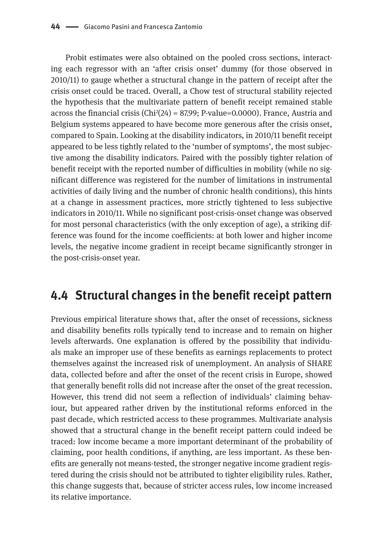Probit estimates were also obtained on the pooled cross sections, interacting each regressor with an 'after crisis onset' dummy (for those observed in 2010/11) to gauge whether a structural change in the pattern of receipt after the crisis onset could be traced. Overall, a Chow test of structural stability rejected the hypothesis that the multivariate pattern of benefit receipt remained stable across the financial crisis (Chi2 (24) = 87.99; P-value=0.0000). France, Austria and Belgium systems appeared to have become more generous after the crisis onset, compared to Spain. Looking at the disability indicators, in 2010/11 benefit receipt appeared to be less tightly related to the 'number of symptoms', the most subjective among the disability indicators. Paired with the possibly tighter relation of benefit receipt with the reported number of difficulties in mobility (while no significant difference was registered for the number of limitations in instrumental activities of daily living and the number of chronic health conditions), this hints at a change in assessment practices, more strictly tightened to less subjective indicators in 2010/11. While no significant post-crisis-onset change was observed for most personal characteristics (with the only exception of age), a striking difference was found for the income coefficients: at both lower and higher income levels, the negative income gradient in receipt became significantly stronger in the post-crisis-onset year.

#### **4.4 Structural changes in the benefit receipt pattern**

Previous empirical literature shows that, after the onset of recessions, sickness and disability benefits rolls typically tend to increase and to remain on higher levels afterwards. One explanation is offered by the possibility that individuals make an improper use of these benefits as earnings replacements to protect themselves against the increased risk of unemployment. An analysis of SHARE data, collected before and after the onset of the recent crisis in Europe, showed that generally benefit rolls did not increase after the onset of the great recession. However, this trend did not seem a reflection of individuals' claiming behaviour, but appeared rather driven by the institutional reforms enforced in the past decade, which restricted access to these programmes. Multivariate analysis showed that a structural change in the benefit receipt pattern could indeed be traced: low income became a more important determinant of the probability of claiming, poor health conditions, if anything, are less important. As these benefits are generally not means-tested, the stronger negative income gradient registered during the crisis should not be attributed to tighter eligibility rules. Rather, this change suggests that, because of stricter access rules, low income increased its relative importance.